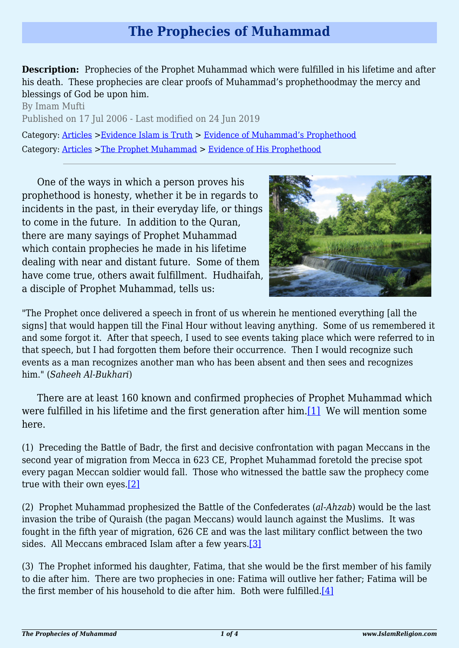## **The Prophecies of Muhammad**

**Description:** Prophecies of the Prophet Muhammad which were fulfilled in his lifetime and after his death. These prophecies are clear proofs of Muhammad's prophethoodmay the mercy and blessings of God be upon him.

By Imam Mufti Published on 17 Jul 2006 - Last modified on 24 Jun 2019 Category: [Articles](http://www.islamreligion.com/articles/) >[Evidence Islam is Truth](http://www.islamreligion.com/category/33/) > [Evidence of Muhammad's Prophethood](http://www.islamreligion.com/category/38/) Category: [Articles](http://www.islamreligion.com/articles/) >[The Prophet Muhammad](http://www.islamreligion.com/category/79/) > [Evidence of His Prophethood](http://www.islamreligion.com/category/118/)

One of the ways in which a person proves his prophethood is honesty, whether it be in regards to incidents in the past, in their everyday life, or things to come in the future. In addition to the Quran, there are many sayings of Prophet Muhammad which contain prophecies he made in his lifetime dealing with near and distant future. Some of them have come true, others await fulfillment. Hudhaifah, a disciple of Prophet Muhammad, tells us:



"The Prophet once delivered a speech in front of us wherein he mentioned everything [all the signs] that would happen till the Final Hour without leaving anything. Some of us remembered it and some forgot it. After that speech, I used to see events taking place which were referred to in that speech, but I had forgotten them before their occurrence. Then I would recognize such events as a man recognizes another man who has been absent and then sees and recognizes him." (*Saheeh Al-Bukhari*)

<span id="page-0-0"></span>There are at least 160 known and confirmed prophecies of Prophet Muhammad which were fulfilled in his lifetime and the first generation after him.[\[1\]](#page-2-0) We will mention some here.

(1) Preceding the Battle of Badr, the first and decisive confrontation with pagan Meccans in the second year of migration from Mecca in 623 CE, Prophet Muhammad foretold the precise spot every pagan Meccan soldier would fall. Those who witnessed the battle saw the prophecy come true with their own eyes.[\[2\]](#page-2-1)

<span id="page-0-1"></span>(2) Prophet Muhammad prophesized the Battle of the Confederates (*al-Ahzab*) would be the last invasion the tribe of Quraish (the pagan Meccans) would launch against the Muslims. It was fought in the fifth year of migration, 626 CE and was the last military conflict between the two sides. All Meccans embraced Islam after a few years[.\[3\]](#page-2-2)

<span id="page-0-4"></span><span id="page-0-3"></span><span id="page-0-2"></span>(3) The Prophet informed his daughter, Fatima, that she would be the first member of his family to die after him. There are two prophecies in one: Fatima will outlive her father; Fatima will be the first member of his household to die after him. Both were fulfilled[.\[4\]](#page-2-3)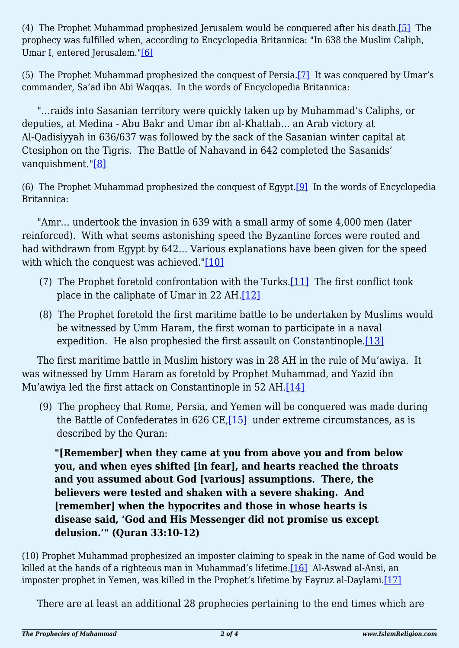(4) The Prophet Muhammad prophesized Jerusalem would be conquered after his death[.\[5\]](#page-2-4) The prophecy was fulfilled when, according to Encyclopedia Britannica: "In 638 the Muslim Caliph, Umar I, entered Jerusalem.["\[6\]](#page-2-5)

<span id="page-1-1"></span><span id="page-1-0"></span>(5) The Prophet Muhammad prophesized the conquest of Persia[.\[7\]](#page-2-6) It was conquered by Umar's commander, Sa'ad ibn Abi Waqqas. In the words of Encyclopedia Britannica:

"…raids into Sasanian territory were quickly taken up by Muhammad's Caliphs, or deputies, at Medina - Abu Bakr and Umar ibn al-Khattab… an Arab victory at Al-Qadisiyyah in 636/637 was followed by the sack of the Sasanian winter capital at Ctesiphon on the Tigris. The Battle of Nahavand in 642 completed the Sasanids' vanquishment.["\[8\]](#page-2-7)

<span id="page-1-3"></span><span id="page-1-2"></span>(6) The Prophet Muhammad prophesized the conquest of Egypt.[\[9\]](#page-2-8) In the words of Encyclopedia Britannica:

"Amr… undertook the invasion in 639 with a small army of some 4,000 men (later reinforced). With what seems astonishing speed the Byzantine forces were routed and had withdrawn from Egypt by 642… Various explanations have been given for the speed with which the conquest was achieved.["\[10\]](#page-2-9)

- <span id="page-1-6"></span><span id="page-1-5"></span><span id="page-1-4"></span>(7) The Prophet foretold confrontation with the Turks.[\[11\]](#page-2-10) The first conflict took place in the caliphate of Umar in 22 AH.[\[12\]](#page-2-11)
- (8) The Prophet foretold the first maritime battle to be undertaken by Muslims would be witnessed by Umm Haram, the first woman to participate in a naval expedition. He also prophesied the first assault on Constantinople.<sup>[\[13\]](#page-2-12)</sup>

<span id="page-1-8"></span><span id="page-1-7"></span>The first maritime battle in Muslim history was in 28 AH in the rule of Mu'awiya. It was witnessed by Umm Haram as foretold by Prophet Muhammad, and Yazid ibn Mu'awiya led the first attack on Constantinople in 52 AH.<sup>[\[14\]](#page-3-0)</sup>

<span id="page-1-9"></span>(9) The prophecy that Rome, Persia, and Yemen will be conquered was made during the Battle of Confederates in 626 CE, $[15]$  under extreme circumstances, as is described by the Quran:

**"[Remember] when they came at you from above you and from below you, and when eyes shifted [in fear], and hearts reached the throats and you assumed about God [various] assumptions. There, the believers were tested and shaken with a severe shaking. And [remember] when the hypocrites and those in whose hearts is disease said, 'God and His Messenger did not promise us except delusion.'" (Quran 33:10-12)**

<span id="page-1-11"></span><span id="page-1-10"></span>(10) Prophet Muhammad prophesized an imposter claiming to speak in the name of God would be killed at the hands of a righteous man in Muhammad's lifetime.<sup>[16]</sup> Al-Aswad al-Ansi, an imposter prophet in Yemen, was killed in the Prophet's lifetime by Fayruz al-Daylami[.\[17\]](#page-3-3)

There are at least an additional 28 prophecies pertaining to the end times which are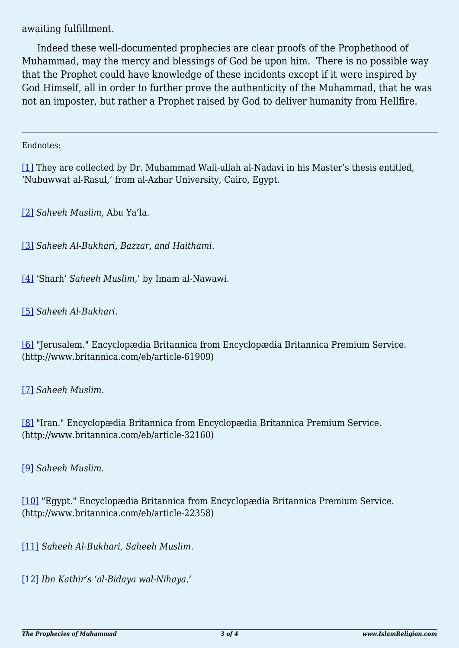awaiting fulfillment.

Indeed these well-documented prophecies are clear proofs of the Prophethood of Muhammad, may the mercy and blessings of God be upon him. There is no possible way that the Prophet could have knowledge of these incidents except if it were inspired by God Himself, all in order to further prove the authenticity of the Muhammad, that he was not an imposter, but rather a Prophet raised by God to deliver humanity from Hellfire.

## <span id="page-2-0"></span>Endnotes:

[\[1\]](#page-0-0) They are collected by Dr. Muhammad Wali-ullah al-Nadavi in his Master's thesis entitled, 'Nubuwwat al-Rasul,' from al-Azhar University, Cairo, Egypt.

<span id="page-2-1"></span>[\[2\]](#page-0-1) *Saheeh Muslim*, Abu Ya'la.

<span id="page-2-2"></span>[\[3\]](#page-0-2) *Saheeh Al-Bukhari, Bazzar, and Haithami*.

<span id="page-2-3"></span>[\[4\]](#page-0-3) 'Sharh' *Saheeh Muslim*,' by Imam al-Nawawi.

<span id="page-2-4"></span>[\[5\]](#page-0-4) *Saheeh Al-Bukhari*.

<span id="page-2-5"></span>[\[6\]](#page-1-0) "Jerusalem." Encyclopædia Britannica from Encyclopædia Britannica Premium Service. (http://www.britannica.com/eb/article-61909)

<span id="page-2-6"></span>[\[7\]](#page-1-1) *Saheeh Muslim*.

<span id="page-2-7"></span>[\[8\]](#page-1-2) "Iran." Encyclopædia Britannica from Encyclopædia Britannica Premium Service. (http://www.britannica.com/eb/article-32160)

<span id="page-2-8"></span>[\[9\]](#page-1-3) *Saheeh Muslim*.

<span id="page-2-9"></span>[\[10\]](#page-1-4) "Egypt." Encyclopædia Britannica from Encyclopædia Britannica Premium Service. (http://www.britannica.com/eb/article-22358)

<span id="page-2-10"></span>[\[11\]](#page-1-5) *Saheeh Al-Bukhari, Saheeh Muslim*.

<span id="page-2-12"></span><span id="page-2-11"></span>[\[12\]](#page-1-6) *Ibn Kathir's 'al-Bidaya wal-Nihaya.'*